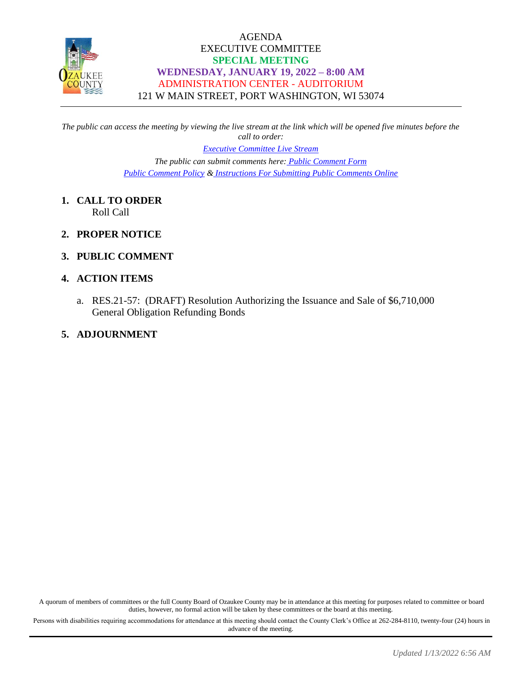

## AGENDA EXECUTIVE COMMITTEE **SPECIAL MEETING WEDNESDAY, JANUARY 19, 2022 – 8:00 AM** ADMINISTRATION CENTER - AUDITORIUM 121 W MAIN STREET, PORT WASHINGTON, WI 53074

*The public can access the meeting by viewing the live stream at the link which will be opened five minutes before the call to order:*

*[Executive Committee Live Stream](https://www.youtube.com/channel/UCQ16yLTEJmJo_h02WDDqcqg)*

*The public can submit comments here: [Public Comment Form](https://www.co.ozaukee.wi.us/FormCenter/Email-Forms-28/Email-Public-Comment-300) [Public Comment Policy](https://www.co.ozaukee.wi.us/2663/Public-Comments-at-In-Person-Meetings) & [Instructions For Submitting Public Comments Online](https://www.co.ozaukee.wi.us/2645/Public-Comments-at-Zoom-Meetings)*

- **1. CALL TO ORDER** Roll Call
- **2. PROPER NOTICE**
- **3. PUBLIC COMMENT**

#### **4. ACTION ITEMS**

a. RES.21-57: (DRAFT) Resolution Authorizing the Issuance and Sale of \$6,710,000 General Obligation Refunding Bonds

#### **5. ADJOURNMENT**

A quorum of members of committees or the full County Board of Ozaukee County may be in attendance at this meeting for purposes related to committee or board duties, however, no formal action will be taken by these committees or the board at this meeting.

Persons with disabilities requiring accommodations for attendance at this meeting should contact the County Clerk's Office at 262-284-8110, twenty-four (24) hours in advance of the meeting.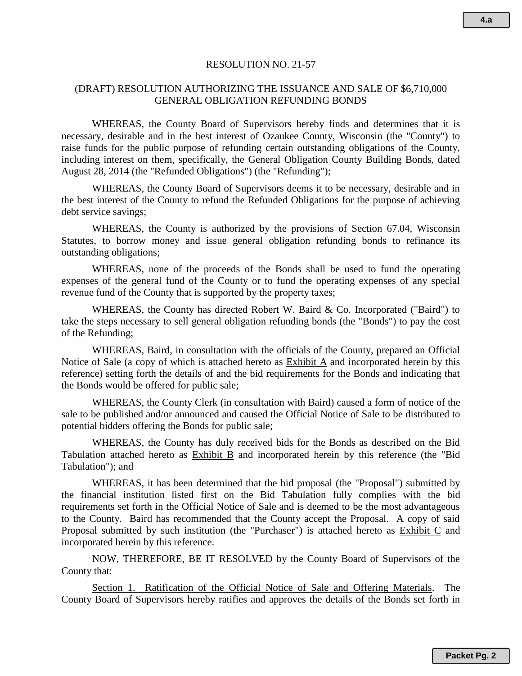#### RESOLUTION NO. 21-57

#### (DRAFT) RESOLUTION AUTHORIZING THE ISSUANCE AND SALE OF \$6,710,000 GENERAL OBLIGATION REFUNDING BONDS

WHEREAS, the County Board of Supervisors hereby finds and determines that it is necessary, desirable and in the best interest of Ozaukee County, Wisconsin (the "County") to raise funds for the public purpose of refunding certain outstanding obligations of the County, including interest on them, specifically, the General Obligation County Building Bonds, dated August 28, 2014 (the "Refunded Obligations") (the "Refunding");

WHEREAS, the County Board of Supervisors deems it to be necessary, desirable and in the best interest of the County to refund the Refunded Obligations for the purpose of achieving debt service savings;

WHEREAS, the County is authorized by the provisions of Section 67.04, Wisconsin Statutes, to borrow money and issue general obligation refunding bonds to refinance its outstanding obligations;

WHEREAS, none of the proceeds of the Bonds shall be used to fund the operating expenses of the general fund of the County or to fund the operating expenses of any special revenue fund of the County that is supported by the property taxes;

WHEREAS, the County has directed Robert W. Baird & Co. Incorporated ("Baird") to take the steps necessary to sell general obligation refunding bonds (the "Bonds") to pay the cost of the Refunding;

WHEREAS, Baird, in consultation with the officials of the County, prepared an Official Notice of Sale (a copy of which is attached hereto as Exhibit A and incorporated herein by this reference) setting forth the details of and the bid requirements for the Bonds and indicating that the Bonds would be offered for public sale;

WHEREAS, the County Clerk (in consultation with Baird) caused a form of notice of the sale to be published and/or announced and caused the Official Notice of Sale to be distributed to potential bidders offering the Bonds for public sale;

WHEREAS, the County has duly received bids for the Bonds as described on the Bid Tabulation attached hereto as Exhibit B and incorporated herein by this reference (the "Bid Tabulation"); and

WHEREAS, it has been determined that the bid proposal (the "Proposal") submitted by the financial institution listed first on the Bid Tabulation fully complies with the bid requirements set forth in the Official Notice of Sale and is deemed to be the most advantageous to the County. Baird has recommended that the County accept the Proposal. A copy of said Proposal submitted by such institution (the "Purchaser") is attached hereto as Exhibit C and incorporated herein by this reference.

NOW, THEREFORE, BE IT RESOLVED by the County Board of Supervisors of the County that:

Section 1. Ratification of the Official Notice of Sale and Offering Materials. The County Board of Supervisors hereby ratifies and approves the details of the Bonds set forth in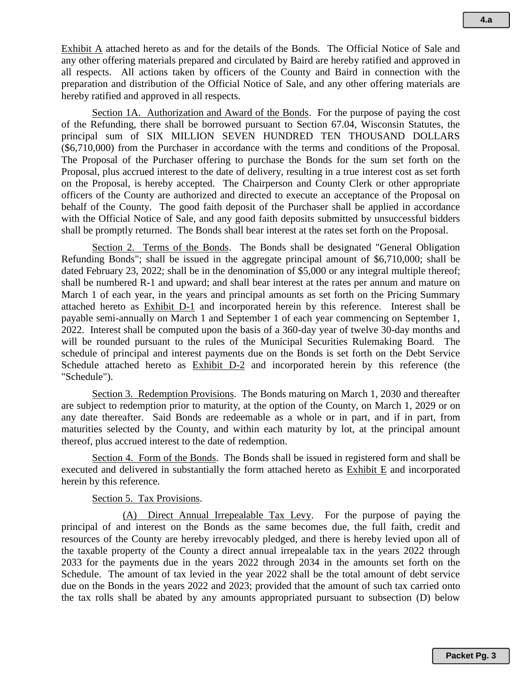Exhibit A attached hereto as and for the details of the Bonds. The Official Notice of Sale and any other offering materials prepared and circulated by Baird are hereby ratified and approved in all respects. All actions taken by officers of the County and Baird in connection with the preparation and distribution of the Official Notice of Sale, and any other offering materials are hereby ratified and approved in all respects.

Section 1A. Authorization and Award of the Bonds. For the purpose of paying the cost of the Refunding, there shall be borrowed pursuant to Section 67.04, Wisconsin Statutes, the principal sum of SIX MILLION SEVEN HUNDRED TEN THOUSAND DOLLARS (\$6,710,000) from the Purchaser in accordance with the terms and conditions of the Proposal. The Proposal of the Purchaser offering to purchase the Bonds for the sum set forth on the Proposal, plus accrued interest to the date of delivery, resulting in a true interest cost as set forth on the Proposal, is hereby accepted. The Chairperson and County Clerk or other appropriate officers of the County are authorized and directed to execute an acceptance of the Proposal on behalf of the County. The good faith deposit of the Purchaser shall be applied in accordance with the Official Notice of Sale, and any good faith deposits submitted by unsuccessful bidders shall be promptly returned. The Bonds shall bear interest at the rates set forth on the Proposal.

Section 2. Terms of the Bonds. The Bonds shall be designated "General Obligation Refunding Bonds"; shall be issued in the aggregate principal amount of \$6,710,000; shall be dated February 23, 2022; shall be in the denomination of \$5,000 or any integral multiple thereof; shall be numbered R-1 and upward; and shall bear interest at the rates per annum and mature on March 1 of each year, in the years and principal amounts as set forth on the Pricing Summary attached hereto as Exhibit D-1 and incorporated herein by this reference. Interest shall be payable semi-annually on March 1 and September 1 of each year commencing on September 1, 2022. Interest shall be computed upon the basis of a 360-day year of twelve 30-day months and will be rounded pursuant to the rules of the Municipal Securities Rulemaking Board. The schedule of principal and interest payments due on the Bonds is set forth on the Debt Service Schedule attached hereto as Exhibit D-2 and incorporated herein by this reference (the "Schedule").

Section 3. Redemption Provisions. The Bonds maturing on March 1, 2030 and thereafter are subject to redemption prior to maturity, at the option of the County, on March 1, 2029 or on any date thereafter. Said Bonds are redeemable as a whole or in part, and if in part, from maturities selected by the County, and within each maturity by lot, at the principal amount thereof, plus accrued interest to the date of redemption.

Section 4. Form of the Bonds. The Bonds shall be issued in registered form and shall be executed and delivered in substantially the form attached hereto as Exhibit E and incorporated herein by this reference.

#### Section 5. Tax Provisions.

(A) Direct Annual Irrepealable Tax Levy. For the purpose of paying the principal of and interest on the Bonds as the same becomes due, the full faith, credit and resources of the County are hereby irrevocably pledged, and there is hereby levied upon all of the taxable property of the County a direct annual irrepealable tax in the years 2022 through 2033 for the payments due in the years 2022 through 2034 in the amounts set forth on the Schedule. The amount of tax levied in the year 2022 shall be the total amount of debt service due on the Bonds in the years 2022 and 2023; provided that the amount of such tax carried onto the tax rolls shall be abated by any amounts appropriated pursuant to subsection (D) below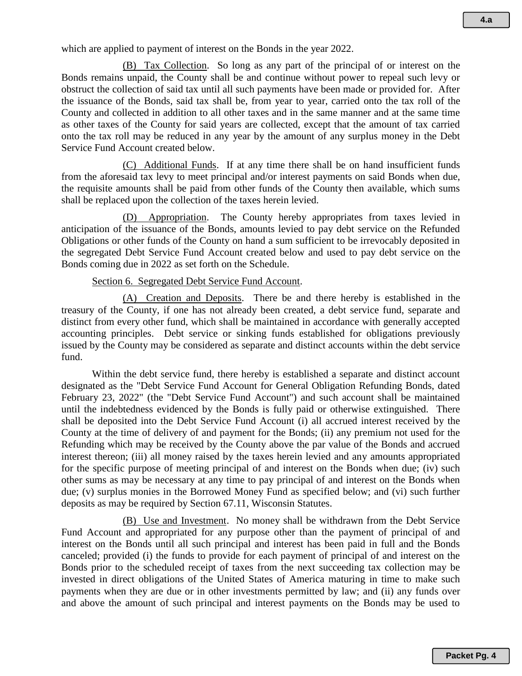(B) Tax Collection. So long as any part of the principal of or interest on the Bonds remains unpaid, the County shall be and continue without power to repeal such levy or obstruct the collection of said tax until all such payments have been made or provided for. After the issuance of the Bonds, said tax shall be, from year to year, carried onto the tax roll of the County and collected in addition to all other taxes and in the same manner and at the same time as other taxes of the County for said years are collected, except that the amount of tax carried onto the tax roll may be reduced in any year by the amount of any surplus money in the Debt Service Fund Account created below.

(C) Additional Funds. If at any time there shall be on hand insufficient funds from the aforesaid tax levy to meet principal and/or interest payments on said Bonds when due, the requisite amounts shall be paid from other funds of the County then available, which sums shall be replaced upon the collection of the taxes herein levied.

(D) Appropriation. The County hereby appropriates from taxes levied in anticipation of the issuance of the Bonds, amounts levied to pay debt service on the Refunded Obligations or other funds of the County on hand a sum sufficient to be irrevocably deposited in the segregated Debt Service Fund Account created below and used to pay debt service on the Bonds coming due in 2022 as set forth on the Schedule.

#### Section 6. Segregated Debt Service Fund Account.

(A) Creation and Deposits. There be and there hereby is established in the treasury of the County, if one has not already been created, a debt service fund, separate and distinct from every other fund, which shall be maintained in accordance with generally accepted accounting principles. Debt service or sinking funds established for obligations previously issued by the County may be considered as separate and distinct accounts within the debt service fund.

Within the debt service fund, there hereby is established a separate and distinct account designated as the "Debt Service Fund Account for General Obligation Refunding Bonds, dated February 23, 2022" (the "Debt Service Fund Account") and such account shall be maintained until the indebtedness evidenced by the Bonds is fully paid or otherwise extinguished. There shall be deposited into the Debt Service Fund Account (i) all accrued interest received by the County at the time of delivery of and payment for the Bonds; (ii) any premium not used for the Refunding which may be received by the County above the par value of the Bonds and accrued interest thereon; (iii) all money raised by the taxes herein levied and any amounts appropriated for the specific purpose of meeting principal of and interest on the Bonds when due; (iv) such other sums as may be necessary at any time to pay principal of and interest on the Bonds when due; (v) surplus monies in the Borrowed Money Fund as specified below; and (vi) such further deposits as may be required by Section 67.11, Wisconsin Statutes.

(B) Use and Investment. No money shall be withdrawn from the Debt Service Fund Account and appropriated for any purpose other than the payment of principal of and interest on the Bonds until all such principal and interest has been paid in full and the Bonds canceled; provided (i) the funds to provide for each payment of principal of and interest on the Bonds prior to the scheduled receipt of taxes from the next succeeding tax collection may be invested in direct obligations of the United States of America maturing in time to make such payments when they are due or in other investments permitted by law; and (ii) any funds over and above the amount of such principal and interest payments on the Bonds may be used to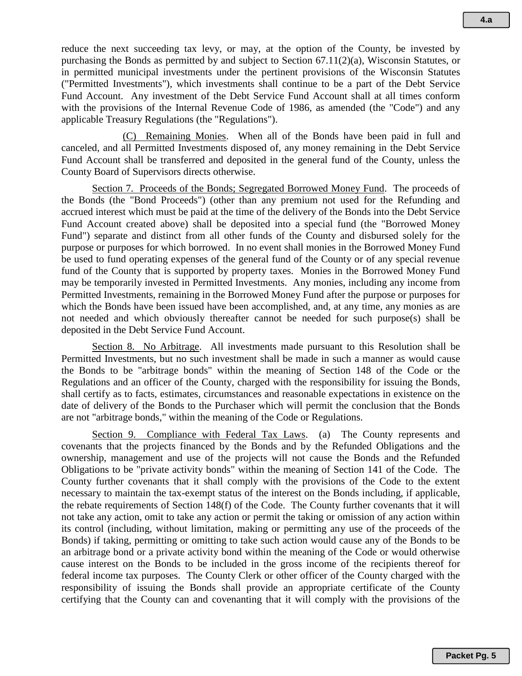reduce the next succeeding tax levy, or may, at the option of the County, be invested by purchasing the Bonds as permitted by and subject to Section 67.11(2)(a), Wisconsin Statutes, or in permitted municipal investments under the pertinent provisions of the Wisconsin Statutes ("Permitted Investments"), which investments shall continue to be a part of the Debt Service Fund Account. Any investment of the Debt Service Fund Account shall at all times conform with the provisions of the Internal Revenue Code of 1986, as amended (the "Code") and any applicable Treasury Regulations (the "Regulations").

(C) Remaining Monies. When all of the Bonds have been paid in full and canceled, and all Permitted Investments disposed of, any money remaining in the Debt Service Fund Account shall be transferred and deposited in the general fund of the County, unless the County Board of Supervisors directs otherwise.

Section 7. Proceeds of the Bonds; Segregated Borrowed Money Fund. The proceeds of the Bonds (the "Bond Proceeds") (other than any premium not used for the Refunding and accrued interest which must be paid at the time of the delivery of the Bonds into the Debt Service Fund Account created above) shall be deposited into a special fund (the "Borrowed Money Fund") separate and distinct from all other funds of the County and disbursed solely for the purpose or purposes for which borrowed. In no event shall monies in the Borrowed Money Fund be used to fund operating expenses of the general fund of the County or of any special revenue fund of the County that is supported by property taxes. Monies in the Borrowed Money Fund may be temporarily invested in Permitted Investments. Any monies, including any income from Permitted Investments, remaining in the Borrowed Money Fund after the purpose or purposes for which the Bonds have been issued have been accomplished, and, at any time, any monies as are not needed and which obviously thereafter cannot be needed for such purpose(s) shall be deposited in the Debt Service Fund Account.

Section 8. No Arbitrage. All investments made pursuant to this Resolution shall be Permitted Investments, but no such investment shall be made in such a manner as would cause the Bonds to be "arbitrage bonds" within the meaning of Section 148 of the Code or the Regulations and an officer of the County, charged with the responsibility for issuing the Bonds, shall certify as to facts, estimates, circumstances and reasonable expectations in existence on the date of delivery of the Bonds to the Purchaser which will permit the conclusion that the Bonds are not "arbitrage bonds," within the meaning of the Code or Regulations.

Section 9. Compliance with Federal Tax Laws. (a) The County represents and covenants that the projects financed by the Bonds and by the Refunded Obligations and the ownership, management and use of the projects will not cause the Bonds and the Refunded Obligations to be "private activity bonds" within the meaning of Section 141 of the Code. The County further covenants that it shall comply with the provisions of the Code to the extent necessary to maintain the tax-exempt status of the interest on the Bonds including, if applicable, the rebate requirements of Section 148(f) of the Code. The County further covenants that it will not take any action, omit to take any action or permit the taking or omission of any action within its control (including, without limitation, making or permitting any use of the proceeds of the Bonds) if taking, permitting or omitting to take such action would cause any of the Bonds to be an arbitrage bond or a private activity bond within the meaning of the Code or would otherwise cause interest on the Bonds to be included in the gross income of the recipients thereof for federal income tax purposes. The County Clerk or other officer of the County charged with the responsibility of issuing the Bonds shall provide an appropriate certificate of the County certifying that the County can and covenanting that it will comply with the provisions of the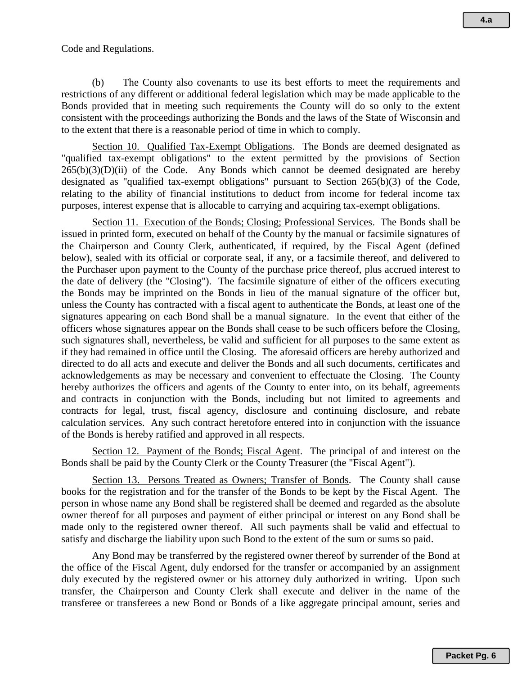#### Code and Regulations.

(b) The County also covenants to use its best efforts to meet the requirements and restrictions of any different or additional federal legislation which may be made applicable to the Bonds provided that in meeting such requirements the County will do so only to the extent consistent with the proceedings authorizing the Bonds and the laws of the State of Wisconsin and to the extent that there is a reasonable period of time in which to comply.

Section 10. Qualified Tax-Exempt Obligations. The Bonds are deemed designated as "qualified tax-exempt obligations" to the extent permitted by the provisions of Section  $265(b)(3)(D)(ii)$  of the Code. Any Bonds which cannot be deemed designated are hereby designated as "qualified tax-exempt obligations" pursuant to Section 265(b)(3) of the Code, relating to the ability of financial institutions to deduct from income for federal income tax purposes, interest expense that is allocable to carrying and acquiring tax-exempt obligations.

Section 11. Execution of the Bonds; Closing; Professional Services. The Bonds shall be issued in printed form, executed on behalf of the County by the manual or facsimile signatures of the Chairperson and County Clerk, authenticated, if required, by the Fiscal Agent (defined below), sealed with its official or corporate seal, if any, or a facsimile thereof, and delivered to the Purchaser upon payment to the County of the purchase price thereof, plus accrued interest to the date of delivery (the "Closing"). The facsimile signature of either of the officers executing the Bonds may be imprinted on the Bonds in lieu of the manual signature of the officer but, unless the County has contracted with a fiscal agent to authenticate the Bonds, at least one of the signatures appearing on each Bond shall be a manual signature. In the event that either of the officers whose signatures appear on the Bonds shall cease to be such officers before the Closing, such signatures shall, nevertheless, be valid and sufficient for all purposes to the same extent as if they had remained in office until the Closing. The aforesaid officers are hereby authorized and directed to do all acts and execute and deliver the Bonds and all such documents, certificates and acknowledgements as may be necessary and convenient to effectuate the Closing. The County hereby authorizes the officers and agents of the County to enter into, on its behalf, agreements and contracts in conjunction with the Bonds, including but not limited to agreements and contracts for legal, trust, fiscal agency, disclosure and continuing disclosure, and rebate calculation services. Any such contract heretofore entered into in conjunction with the issuance of the Bonds is hereby ratified and approved in all respects.

Section 12. Payment of the Bonds; Fiscal Agent. The principal of and interest on the Bonds shall be paid by the County Clerk or the County Treasurer (the "Fiscal Agent").

Section 13. Persons Treated as Owners; Transfer of Bonds. The County shall cause books for the registration and for the transfer of the Bonds to be kept by the Fiscal Agent. The person in whose name any Bond shall be registered shall be deemed and regarded as the absolute owner thereof for all purposes and payment of either principal or interest on any Bond shall be made only to the registered owner thereof. All such payments shall be valid and effectual to satisfy and discharge the liability upon such Bond to the extent of the sum or sums so paid.

Any Bond may be transferred by the registered owner thereof by surrender of the Bond at the office of the Fiscal Agent, duly endorsed for the transfer or accompanied by an assignment duly executed by the registered owner or his attorney duly authorized in writing. Upon such transfer, the Chairperson and County Clerk shall execute and deliver in the name of the transferee or transferees a new Bond or Bonds of a like aggregate principal amount, series and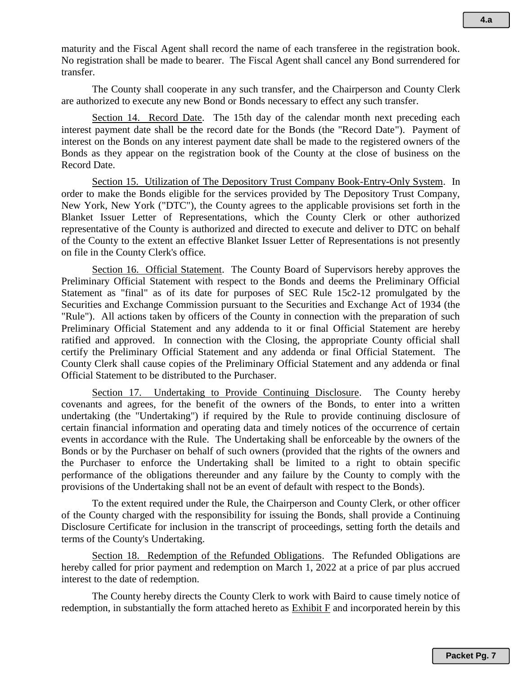maturity and the Fiscal Agent shall record the name of each transferee in the registration book. No registration shall be made to bearer. The Fiscal Agent shall cancel any Bond surrendered for transfer.

The County shall cooperate in any such transfer, and the Chairperson and County Clerk are authorized to execute any new Bond or Bonds necessary to effect any such transfer.

Section 14. Record Date. The 15th day of the calendar month next preceding each interest payment date shall be the record date for the Bonds (the "Record Date"). Payment of interest on the Bonds on any interest payment date shall be made to the registered owners of the Bonds as they appear on the registration book of the County at the close of business on the Record Date.

Section 15. Utilization of The Depository Trust Company Book-Entry-Only System. In order to make the Bonds eligible for the services provided by The Depository Trust Company, New York, New York ("DTC"), the County agrees to the applicable provisions set forth in the Blanket Issuer Letter of Representations, which the County Clerk or other authorized representative of the County is authorized and directed to execute and deliver to DTC on behalf of the County to the extent an effective Blanket Issuer Letter of Representations is not presently on file in the County Clerk's office.

Section 16. Official Statement. The County Board of Supervisors hereby approves the Preliminary Official Statement with respect to the Bonds and deems the Preliminary Official Statement as "final" as of its date for purposes of SEC Rule 15c2-12 promulgated by the Securities and Exchange Commission pursuant to the Securities and Exchange Act of 1934 (the "Rule"). All actions taken by officers of the County in connection with the preparation of such Preliminary Official Statement and any addenda to it or final Official Statement are hereby ratified and approved. In connection with the Closing, the appropriate County official shall certify the Preliminary Official Statement and any addenda or final Official Statement. The County Clerk shall cause copies of the Preliminary Official Statement and any addenda or final Official Statement to be distributed to the Purchaser.

Section 17. Undertaking to Provide Continuing Disclosure. The County hereby covenants and agrees, for the benefit of the owners of the Bonds, to enter into a written undertaking (the "Undertaking") if required by the Rule to provide continuing disclosure of certain financial information and operating data and timely notices of the occurrence of certain events in accordance with the Rule. The Undertaking shall be enforceable by the owners of the Bonds or by the Purchaser on behalf of such owners (provided that the rights of the owners and the Purchaser to enforce the Undertaking shall be limited to a right to obtain specific performance of the obligations thereunder and any failure by the County to comply with the provisions of the Undertaking shall not be an event of default with respect to the Bonds).

To the extent required under the Rule, the Chairperson and County Clerk, or other officer of the County charged with the responsibility for issuing the Bonds, shall provide a Continuing Disclosure Certificate for inclusion in the transcript of proceedings, setting forth the details and terms of the County's Undertaking.

Section 18. Redemption of the Refunded Obligations. The Refunded Obligations are hereby called for prior payment and redemption on March 1, 2022 at a price of par plus accrued interest to the date of redemption.

The County hereby directs the County Clerk to work with Baird to cause timely notice of redemption, in substantially the form attached hereto as  $\overline{\text{Exhibit F}}$  and incorporated herein by this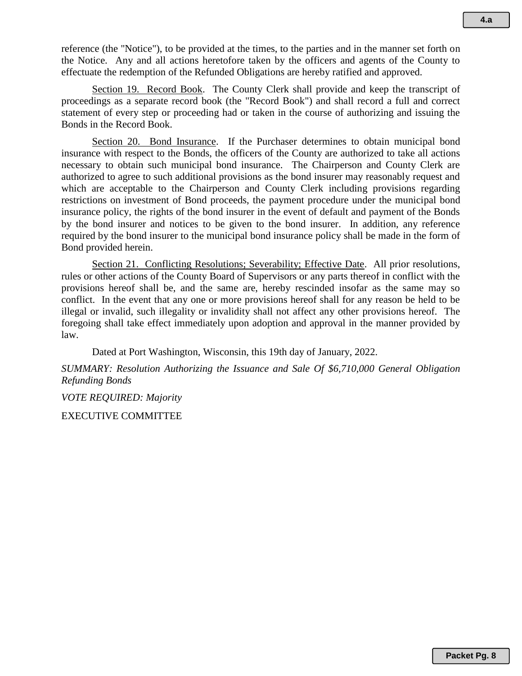reference (the "Notice"), to be provided at the times, to the parties and in the manner set forth on the Notice. Any and all actions heretofore taken by the officers and agents of the County to effectuate the redemption of the Refunded Obligations are hereby ratified and approved.

Section 19. Record Book. The County Clerk shall provide and keep the transcript of proceedings as a separate record book (the "Record Book") and shall record a full and correct statement of every step or proceeding had or taken in the course of authorizing and issuing the Bonds in the Record Book.

Section 20. Bond Insurance. If the Purchaser determines to obtain municipal bond insurance with respect to the Bonds, the officers of the County are authorized to take all actions necessary to obtain such municipal bond insurance. The Chairperson and County Clerk are authorized to agree to such additional provisions as the bond insurer may reasonably request and which are acceptable to the Chairperson and County Clerk including provisions regarding restrictions on investment of Bond proceeds, the payment procedure under the municipal bond insurance policy, the rights of the bond insurer in the event of default and payment of the Bonds by the bond insurer and notices to be given to the bond insurer. In addition, any reference required by the bond insurer to the municipal bond insurance policy shall be made in the form of Bond provided herein.

Section 21. Conflicting Resolutions; Severability; Effective Date. All prior resolutions, rules or other actions of the County Board of Supervisors or any parts thereof in conflict with the provisions hereof shall be, and the same are, hereby rescinded insofar as the same may so conflict. In the event that any one or more provisions hereof shall for any reason be held to be illegal or invalid, such illegality or invalidity shall not affect any other provisions hereof. The foregoing shall take effect immediately upon adoption and approval in the manner provided by law.

Dated at Port Washington, Wisconsin, this 19th day of January, 2022.

*SUMMARY: Resolution Authorizing the Issuance and Sale Of \$6,710,000 General Obligation Refunding Bonds* 

*VOTE REQUIRED: Majority*

EXECUTIVE COMMITTEE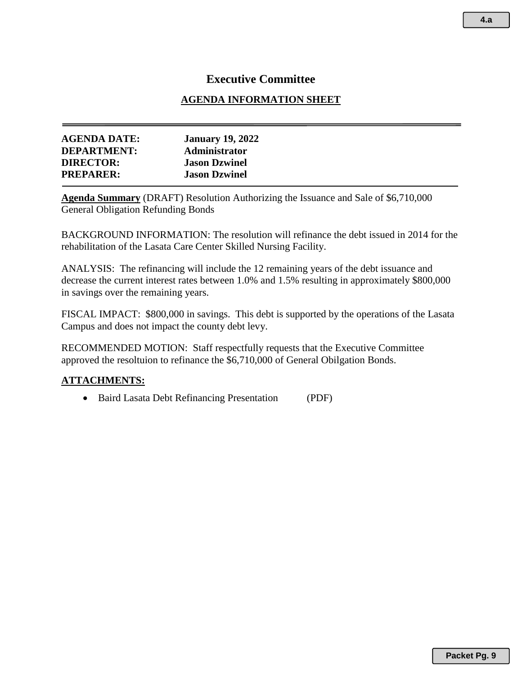## **Executive Committee**

## **AGENDA INFORMATION SHEET**

| <b>AGENDA DATE:</b> | <b>January 19, 2022</b> |  |
|---------------------|-------------------------|--|
| <b>DEPARTMENT:</b>  | <b>Administrator</b>    |  |
| <b>DIRECTOR:</b>    | <b>Jason Dzwinel</b>    |  |
| <b>PREPARER:</b>    | <b>Jason Dzwinel</b>    |  |
|                     |                         |  |

**Agenda Summary** (DRAFT) Resolution Authorizing the Issuance and Sale of \$6,710,000 General Obligation Refunding Bonds

BACKGROUND INFORMATION: The resolution will refinance the debt issued in 2014 for the rehabilitation of the Lasata Care Center Skilled Nursing Facility.

ANALYSIS: The refinancing will include the 12 remaining years of the debt issuance and decrease the current interest rates between 1.0% and 1.5% resulting in approximately \$800,000 in savings over the remaining years.

FISCAL IMPACT: \$800,000 in savings. This debt is supported by the operations of the Lasata Campus and does not impact the county debt levy.

RECOMMENDED MOTION: Staff respectfully requests that the Executive Committee approved the resoltuion to refinance the \$6,710,000 of General Obilgation Bonds.

## **ATTACHMENTS:**

• Baird Lasata Debt Refinancing Presentation (PDF)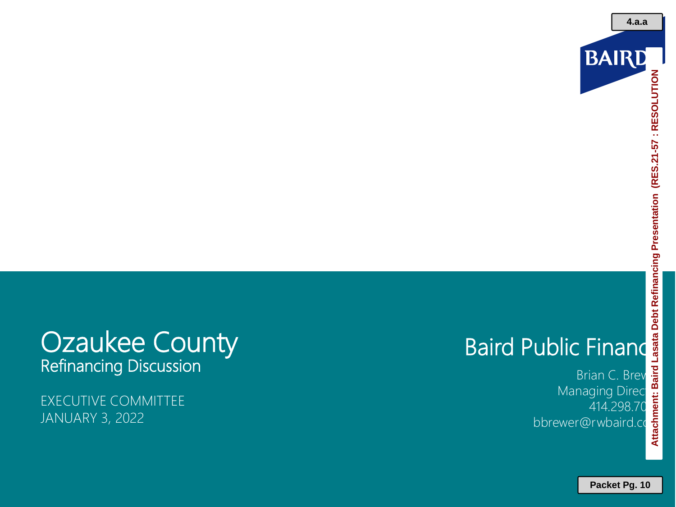

# Baird Public Finance<br>
Managing Director<br>
Managing Director<br>
Managing Director<br>
Managing Director<br>
A14.298.70<br>
bbrewer@rwbaird.co **Attachment: Baird Lasata Debt Refinancing Presentation (RES.21-57 : RESOLUTION**

## **Ozaukee County** Refinancing Discussion

EXECUTIVE COMMITTEE JANUARY 3, 2022

Brian C. Brev Managing Direct 414.298.70 bbrewer@rwbaird.com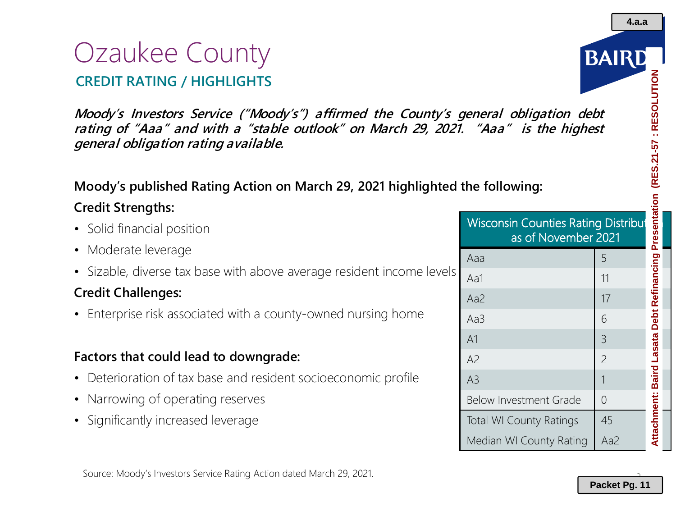# Ozaukee County **CREDIT RATING / HIGHLIGHTS**

**Moody's Investors Service ("Moody's") affirmed the County's general obligation debt rating of "Aaa" and with <sup>a</sup> "stable outlook" on March 29, 2021. "Aaa" is the highest general obligation rating available.**

## **Moody's published Rating Action on March 29, 2021 highlighted the following:**

## **Credit Strengths:**

- Solid financial position
- Moderate leverage
- Sizable, diverse tax base with above average resident income levels

## **Credit Challenges:**

• Enterprise risk associated with a county-owned nursing home

## **Factors that could lead to downgrade:**

- Deterioration of tax base and resident socioeconomic profile
- Narrowing of operating reserves
- Significantly increased leverage



A2 2

A3 1 Below Investment Grade  $\begin{array}{c} \mid \\ \mid \\ \end{array}$ 

Total WI County Ratings | 45

Median WI County Rating | Aa2



**4.a.a**

2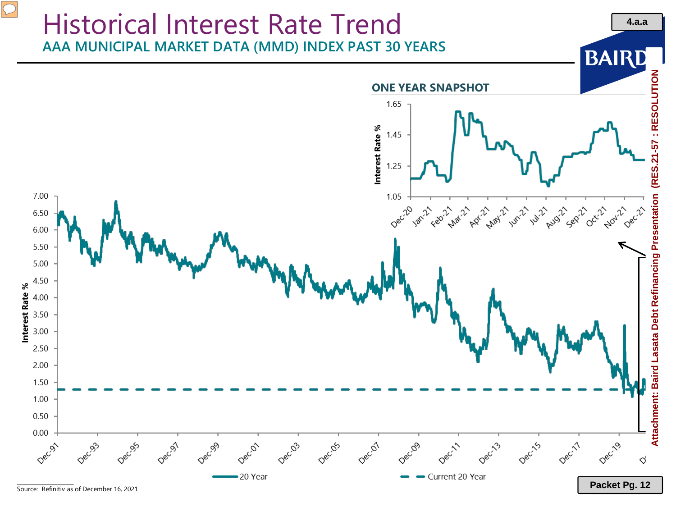

\_\_\_\_\_\_\_\_\_\_\_\_\_\_\_\_\_\_\_\_\_ Source: Refinitiv as of December 16, 2021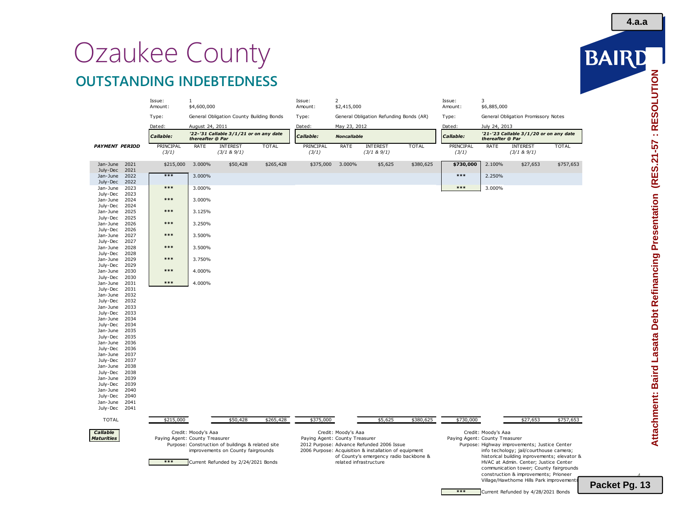# Ozaukee County **OUTSTANDING INDEBTEDNESS**

|                       |              | Issue:<br>Amount:              | $\mathbf{1}$<br>\$4,600,000                                |                                                   |              | Issue:<br>Amount:              | $\overline{2}$<br>\$2,415,000           |                                                                                                 |              | Issue:<br>Amount:              | 3<br>\$6,885,000                                           |                                                                                         |              |  |
|-----------------------|--------------|--------------------------------|------------------------------------------------------------|---------------------------------------------------|--------------|--------------------------------|-----------------------------------------|-------------------------------------------------------------------------------------------------|--------------|--------------------------------|------------------------------------------------------------|-----------------------------------------------------------------------------------------|--------------|--|
|                       |              | Type:                          |                                                            | General Obligation County Building Bonds          |              | Type:                          | General Obligation Refunding Bonds (AR) |                                                                                                 |              | Type:                          | General Obligation Promissory Notes                        |                                                                                         |              |  |
|                       |              | Dated:                         | August 24, 2011                                            |                                                   |              | Dated:                         | May 23, 2012                            |                                                                                                 |              | Dated:                         | July 24, 2013                                              |                                                                                         |              |  |
|                       |              | Callable:                      | '22-'31 Callable 3/1/21 or on any date<br>thereafter @ Par |                                                   |              | Callable:                      | <b>Noncallable</b>                      |                                                                                                 |              | Callable:                      | '21-'23 Callable 3/1/20 or on any date<br>thereafter @ Par |                                                                                         |              |  |
| <b>PAYMENT PERIOD</b> |              | PRINCIPAL<br>(3/1)             | RATE                                                       | <b>INTEREST</b><br>$(3/1 & 8)$ 9/1)               | <b>TOTAL</b> | PRINCIPAL<br>(3/1)             | RATE                                    | <b>INTEREST</b><br>(3/1 & 9/1)                                                                  | <b>TOTAL</b> | PRINCIPAL<br>(3/1)             | RATE                                                       | <b>INTEREST</b><br>(3/1 & 9/1)                                                          | <b>TOTAL</b> |  |
| Jan-June<br>July-Dec  | 2021<br>2021 | \$215,000                      | 3.000%                                                     | \$50,428                                          | \$265,428    | \$375,000                      | 3.000%                                  | \$5,625                                                                                         | \$380,625    | \$730,000                      | 2.100%                                                     | \$27,653                                                                                | \$757,653    |  |
| Jan-June<br>July-Dec  | 2022<br>2022 | $***$                          | 3.000%                                                     |                                                   |              |                                |                                         |                                                                                                 |              | $***$                          | 2.250%                                                     |                                                                                         |              |  |
| Jan-June<br>July-Dec  | 2023<br>2023 | $***$                          | 3.000%                                                     |                                                   |              |                                |                                         |                                                                                                 |              | $***$                          | 3.000%                                                     |                                                                                         |              |  |
| Jan-June<br>July-Dec  | 2024<br>2024 | $***$                          | 3.000%                                                     |                                                   |              |                                |                                         |                                                                                                 |              |                                |                                                            |                                                                                         |              |  |
| Jan-June<br>July-Dec  | 2025<br>2025 | $***$                          | 3.125%                                                     |                                                   |              |                                |                                         |                                                                                                 |              |                                |                                                            |                                                                                         |              |  |
| Jan-June<br>July-Dec  | 2026<br>2026 | $***$                          | 3.250%                                                     |                                                   |              |                                |                                         |                                                                                                 |              |                                |                                                            |                                                                                         |              |  |
| Jan-June<br>July-Dec  | 2027<br>2027 | $***$                          | 3.500%                                                     |                                                   |              |                                |                                         |                                                                                                 |              |                                |                                                            |                                                                                         |              |  |
| Jan-June<br>July-Dec  | 2028<br>2028 | $***$                          | 3.500%                                                     |                                                   |              |                                |                                         |                                                                                                 |              |                                |                                                            |                                                                                         |              |  |
| Jan-June<br>July-Dec  | 2029<br>2029 | $***$                          | 3.750%                                                     |                                                   |              |                                |                                         |                                                                                                 |              |                                |                                                            |                                                                                         |              |  |
| Jan-June<br>July-Dec  | 2030<br>2030 | $***$                          | 4.000%                                                     |                                                   |              |                                |                                         |                                                                                                 |              |                                |                                                            |                                                                                         |              |  |
| Jan-June<br>July-Dec  | 2031<br>2031 | $***$                          | 4.000%                                                     |                                                   |              |                                |                                         |                                                                                                 |              |                                |                                                            |                                                                                         |              |  |
| Jan-June<br>July-Dec  | 2032<br>2032 |                                |                                                            |                                                   |              |                                |                                         |                                                                                                 |              |                                |                                                            |                                                                                         |              |  |
| Jan-June              | 2033         |                                |                                                            |                                                   |              |                                |                                         |                                                                                                 |              |                                |                                                            |                                                                                         |              |  |
| July-Dec<br>Jan-June  | 2033<br>2034 |                                |                                                            |                                                   |              |                                |                                         |                                                                                                 |              |                                |                                                            |                                                                                         |              |  |
| July-Dec<br>Jan-June  | 2034<br>2035 |                                |                                                            |                                                   |              |                                |                                         |                                                                                                 |              |                                |                                                            |                                                                                         |              |  |
| July-Dec              | 2035         |                                |                                                            |                                                   |              |                                |                                         |                                                                                                 |              |                                |                                                            |                                                                                         |              |  |
| Jan-June              | 2036         |                                |                                                            |                                                   |              |                                |                                         |                                                                                                 |              |                                |                                                            |                                                                                         |              |  |
| July-Dec<br>Jan-June  | 2036<br>2037 |                                |                                                            |                                                   |              |                                |                                         |                                                                                                 |              |                                |                                                            |                                                                                         |              |  |
| July-Dec              | 2037         |                                |                                                            |                                                   |              |                                |                                         |                                                                                                 |              |                                |                                                            |                                                                                         |              |  |
| Jan-June<br>July-Dec  | 2038<br>2038 |                                |                                                            |                                                   |              |                                |                                         |                                                                                                 |              |                                |                                                            |                                                                                         |              |  |
| Jan-June              | 2039         |                                |                                                            |                                                   |              |                                |                                         |                                                                                                 |              |                                |                                                            |                                                                                         |              |  |
| July-Dec              | 2039         |                                |                                                            |                                                   |              |                                |                                         |                                                                                                 |              |                                |                                                            |                                                                                         |              |  |
| Jan-June<br>July-Dec  | 2040<br>2040 |                                |                                                            |                                                   |              |                                |                                         |                                                                                                 |              |                                |                                                            |                                                                                         |              |  |
| Jan-June              | 2041         |                                |                                                            |                                                   |              |                                |                                         |                                                                                                 |              |                                |                                                            |                                                                                         |              |  |
| July-Dec              | 2041         |                                |                                                            |                                                   |              |                                |                                         |                                                                                                 |              |                                |                                                            |                                                                                         |              |  |
| <b>TOTAL</b>          |              | \$215,000                      |                                                            | \$50,428                                          | \$265,428    | \$375,000                      |                                         | \$5,625                                                                                         | \$380,625    | \$730,000                      |                                                            | \$27,653                                                                                | \$757,653    |  |
| Callable              |              |                                | Credit: Moody's Aaa                                        |                                                   |              |                                | Credit: Moody's Aaa                     |                                                                                                 |              |                                | Credit: Moody's Aaa                                        |                                                                                         |              |  |
| <b>Maturities</b>     |              | Paying Agent: County Treasurer |                                                            | Purpose: Construction of buildings & related site |              | Paying Agent: County Treasurer |                                         | 2012 Purpose: Advance Refunded 2006 Issue                                                       |              | Paying Agent: County Treasurer |                                                            | Purpose: Highway improvements; Justice Center                                           |              |  |
|                       |              |                                |                                                            | improvements on County fairgrounds                |              |                                |                                         | 2006 Purpose: Acquisition & installation of equipment<br>of County's emergency radio backbone & |              |                                |                                                            | info techology; jail/courthouse camera;<br>historical building inprovements; elevator & |              |  |
|                       |              | $***$                          |                                                            | Current Refunded by 2/24/2021 Bonds               |              |                                |                                         | related infrastructure                                                                          |              |                                |                                                            | HVAC at Admin. Center; Justice Center<br>communication tower; County fairgrounds        |              |  |
|                       |              |                                |                                                            |                                                   |              |                                |                                         |                                                                                                 |              |                                |                                                            | construction & improvements; Prioneer<br>Village/Hawthorne Hills Park improvements      |              |  |

BAIRD

**4.a.a**

 $\overline{a}$ **Packet Pg. 13**

**\*\*\*** Current Refunded by 4/28/2021 Bonds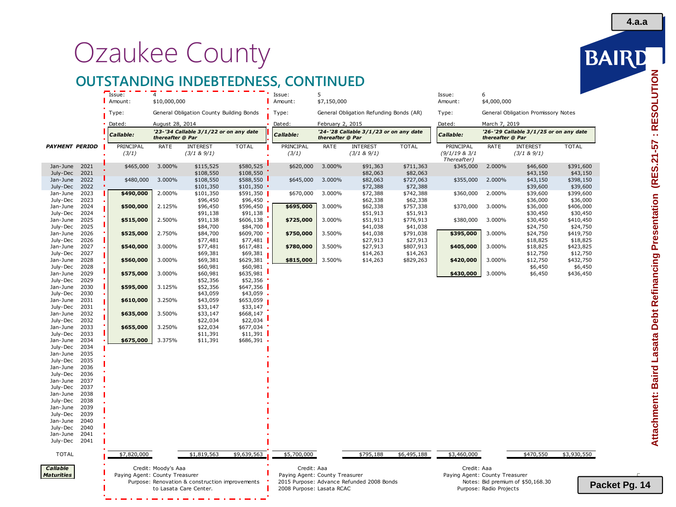# Ozaukee County

## **OUTSTANDING INDEBTEDNESS, CONTINUED**

|                       |              | Issue:                         | $\Delta$            |                                                 |                        | Issue:                         | 5                |                                           |                       | Issue:                         | 6                       |                                        |                       |
|-----------------------|--------------|--------------------------------|---------------------|-------------------------------------------------|------------------------|--------------------------------|------------------|-------------------------------------------|-----------------------|--------------------------------|-------------------------|----------------------------------------|-----------------------|
|                       |              | Amount:                        | \$10,000,000        |                                                 |                        | Amount:                        | \$7,150,000      |                                           |                       | Amount:                        | \$4,000,000             |                                        |                       |
|                       |              | Type:                          |                     | General Obligation County Building Bonds        |                        | Type:                          |                  | General Obligation Refunding Bonds (AR)   |                       | Type:                          |                         | General Obligation Promissory Notes    |                       |
|                       |              | Dated:                         | August 28, 2014     |                                                 |                        | Dated:                         | February 2, 2015 |                                           |                       | Dated:                         | March 7, 2019           |                                        |                       |
|                       |              | <i><b>Callable:</b></i>        | thereafter @ Par    | '23-'34 Callable 3/1/22 or on any date          |                        | Callable:                      | thereafter @ Par | '24-'28 Callable 3/1/23 or on any date    |                       | Callable:                      | thereafter @ Par        | '26-'29 Callable 3/1/25 or on any date |                       |
| <b>PAYMENT PERIOD</b> |              | PRINCIPAL                      | RATE                | <b>INTEREST</b>                                 | <b>TOTAL</b>           | PRINCIPAL                      | RATE             | <b>INTEREST</b>                           | <b>TOTAL</b>          | PRINCIPAL                      | RATE                    | <b>INTEREST</b>                        | <b>TOTAL</b>          |
|                       |              | (3/1)                          |                     | (3/1 & 8)9/1)                                   |                        | (3/1)                          |                  | (3/1 & 8)9/1)                             |                       | (9/1/19 & 3/1)<br>Thereafter)  |                         | (3/1 & 8)9/1)                          |                       |
| Jan-June<br>July-Dec  | 2021<br>2021 | \$465,000                      | 3.000%              | \$115,525<br>\$108,550                          | \$580,525<br>\$108,550 | \$620,000                      | 3.000%           | \$91,363<br>\$82,063                      | \$711,363<br>\$82,063 | \$345,000                      | 2.000%                  | \$46,600<br>\$43,150                   | \$391,600<br>\$43,150 |
| Jan-June<br>July-Dec  | 2022<br>2022 | \$480,000                      | 3.000%              | \$108,550<br>\$101,350                          | \$588,550<br>\$101,350 | \$645,000                      | 3.000%           | \$82,063<br>\$72,388                      | \$727,063<br>\$72,388 | \$355,000                      | 2.000%                  | \$43,150<br>\$39,600                   | \$398,150<br>\$39,600 |
| Jan-June              | 2023         | \$490,000                      | 2.000%              | \$101,350                                       | $$591,350$             | \$670,000                      | 3.000%           | \$72,388                                  | \$742,388             | \$360,000                      | 2.000%                  | \$39,600                               | \$399,600             |
| July-Dec              | 2023         |                                |                     | \$96,450                                        | \$96,450               |                                |                  | \$62,338                                  | \$62,338              |                                |                         | \$36,000                               | \$36,000              |
| Jan-June              | 2024<br>2024 | \$500,000                      | 2.125%              | \$96,450<br>\$91,138                            | \$596,450<br>\$91,138  | \$695,000                      | 3.000%           | \$62,338<br>\$51,913                      | \$757,338             | \$370,000                      | 3.000%                  | \$36,000                               | \$406,000<br>\$30,450 |
| July-Dec<br>Jan-June  | 2025         | \$515,000                      | 2.500%              | \$91,138                                        | \$606,138              | \$725,000                      | 3.000%           | \$51,913                                  | \$51,913<br>\$776,913 | \$380,000                      | 3.000%                  | \$30,450<br>\$30,450                   | \$410,450             |
| July-Dec              | 2025         |                                |                     | \$84,700                                        | \$84,700               |                                |                  | \$41,038                                  | \$41,038              |                                |                         | \$24,750                               | \$24,750              |
| Jan-June              | 2026         | \$525,000                      | 2.750%              | \$84,700                                        | \$609,700              | \$750,000                      | 3.500%           | \$41,038                                  | \$791,038             | \$395,000                      | 3.000%                  | \$24,750                               | \$419,750             |
| July-Dec              | 2026         |                                |                     | \$77,481                                        | \$77,481               |                                |                  | \$27,913                                  | \$27,913              |                                |                         | \$18,825                               | \$18,825              |
| Jan-June              | 2027         | \$540,000                      | 3.000%              | \$77,481                                        | \$617,481              | \$780,000                      | 3.500%           | \$27,913                                  | \$807,913             | \$405,000                      | 3.000%                  | \$18,825                               | \$423,825             |
| July-Dec              | 2027         |                                |                     | \$69,381                                        | \$69,381               |                                |                  | \$14,263                                  | \$14,263              |                                |                         | \$12,750                               | \$12,750              |
| Jan-June              | 2028         | \$560,000                      | 3.000%              | \$69,381                                        | \$629,381              | \$815,000                      | 3.500%           | \$14,263                                  | \$829,263             | \$420,000                      | 3.000%                  | \$12,750                               | \$432,750             |
| July-Dec<br>Jan-June  | 2028<br>2029 |                                | 3.000%              | \$60,981<br>\$60,981                            | \$60,981<br>\$635,981  |                                |                  |                                           |                       | \$430,000                      | 3.000%                  | \$6,450                                | \$6,450               |
| July-Dec              | 2029         | \$575,000                      |                     | \$52,356                                        | \$52,356               |                                |                  |                                           |                       |                                |                         | \$6,450                                | \$436,450             |
| Jan-June              | 2030         | \$595,000                      | 3.125%              | \$52,356                                        | \$647,356              |                                |                  |                                           |                       |                                |                         |                                        |                       |
| July-Dec              | 2030         |                                |                     | \$43,059                                        | \$43,059               |                                |                  |                                           |                       |                                |                         |                                        |                       |
| Jan-June              | 2031         | \$610,000                      | 3.250%              | \$43,059                                        | \$653,059              |                                |                  |                                           |                       |                                |                         |                                        |                       |
| July-Dec              | 2031         |                                |                     | \$33,147                                        | \$33,147               |                                |                  |                                           |                       |                                |                         |                                        |                       |
| Jan-June              | 2032         | \$635,000                      | 3.500%              | \$33,147                                        | \$668,147              |                                |                  |                                           |                       |                                |                         |                                        |                       |
| July-Dec              | 2032         |                                |                     | \$22,034                                        | \$22,034               |                                |                  |                                           |                       |                                |                         |                                        |                       |
| Jan-June<br>July-Dec  | 2033<br>2033 | \$655,000                      | 3.250%              | \$22,034<br>\$11,391                            | \$677,034<br>\$11,391  |                                |                  |                                           |                       |                                |                         |                                        |                       |
| Jan-June              | 2034         | \$675,000                      | 3.375%              | \$11,391                                        | $$686,391$ .           |                                |                  |                                           |                       |                                |                         |                                        |                       |
| July-Dec              | 2034         |                                |                     |                                                 |                        |                                |                  |                                           |                       |                                |                         |                                        |                       |
| Jan-June              | 2035         |                                |                     |                                                 |                        |                                |                  |                                           |                       |                                |                         |                                        |                       |
| July-Dec              | 2035         |                                |                     |                                                 |                        |                                |                  |                                           |                       |                                |                         |                                        |                       |
| Jan-June              | 2036         |                                |                     |                                                 |                        |                                |                  |                                           |                       |                                |                         |                                        |                       |
| July-Dec              | 2036         |                                |                     |                                                 |                        |                                |                  |                                           |                       |                                |                         |                                        |                       |
| Jan-June              | 2037         |                                |                     |                                                 |                        |                                |                  |                                           |                       |                                |                         |                                        |                       |
| July-Dec<br>Jan-June  | 2037<br>2038 |                                |                     |                                                 |                        |                                |                  |                                           |                       |                                |                         |                                        |                       |
| July-Dec              | 2038         |                                |                     |                                                 |                        |                                |                  |                                           |                       |                                |                         |                                        |                       |
| Jan-June              | 2039         |                                |                     |                                                 |                        |                                |                  |                                           |                       |                                |                         |                                        |                       |
| July-Dec              | 2039         |                                |                     |                                                 |                        |                                |                  |                                           |                       |                                |                         |                                        |                       |
| Jan-June              | 2040         |                                |                     |                                                 |                        |                                |                  |                                           |                       |                                |                         |                                        |                       |
| July-Dec              | 2040         |                                |                     |                                                 |                        |                                |                  |                                           |                       |                                |                         |                                        |                       |
| Jan-June              | 2041         |                                |                     |                                                 |                        |                                |                  |                                           |                       |                                |                         |                                        |                       |
| July-Dec              | 2041         |                                |                     |                                                 |                        |                                |                  |                                           |                       |                                |                         |                                        |                       |
| <b>TOTAL</b>          |              | \$7,820,000                    |                     | \$1,819,563                                     | \$9,639,563            | \$5,700,000                    |                  | \$795,188                                 | \$6,495,188           | \$3,460,000                    |                         | \$470,550                              | \$3,930,550           |
| Callable              |              |                                | Credit: Moody's Aaa |                                                 |                        | Credit: Aaa                    |                  |                                           |                       | Credit: Aaa                    |                         |                                        |                       |
| <b>Maturities</b>     |              | Paying Agent: County Treasurer |                     |                                                 |                        | Paying Agent: County Treasurer |                  |                                           |                       | Paying Agent: County Treasurer |                         |                                        |                       |
|                       |              |                                |                     | Purpose: Renovation & construction improvements |                        |                                |                  | 2015 Purpose: Advance Refunded 2008 Bonds |                       |                                |                         | Notes: Bid premium of \$50,168.30      | Pa                    |
|                       |              |                                |                     | to Lasata Care Center.                          |                        | 2008 Purpose: Lasata RCAC      |                  |                                           |                       |                                | Purpose: Radio Projects |                                        |                       |
|                       |              |                                |                     |                                                 |                        |                                |                  |                                           |                       |                                |                         |                                        |                       |

BAIRD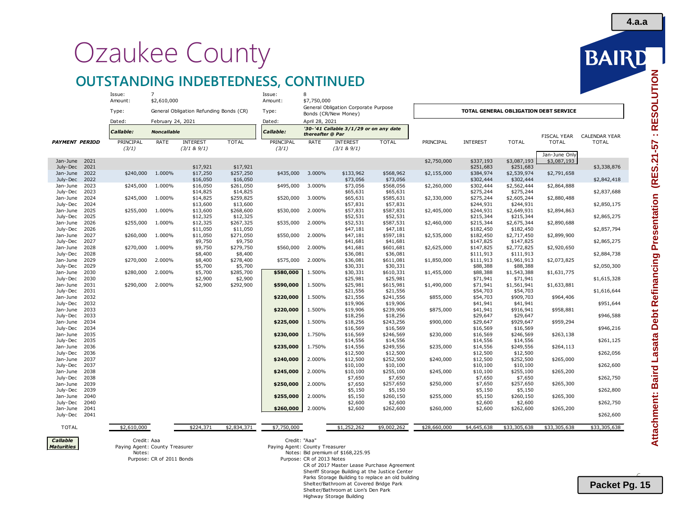# Ozaukee County

## **OUTSTANDING INDEBTEDNESS, CONTINUED**

| \$2,610,000<br>\$7,750,000<br>Amount:<br>Amount:<br>General Obligation Corporate Purpose<br>TOTAL GENERAL OBLIGATION DEBT SERVICE<br>Type:<br>General Obligation Refunding Bonds (CR)<br>Type:                                                            |                                               |
|-----------------------------------------------------------------------------------------------------------------------------------------------------------------------------------------------------------------------------------------------------------|-----------------------------------------------|
|                                                                                                                                                                                                                                                           |                                               |
| Bonds (CR/New Money)<br>Dated:<br>Dated:                                                                                                                                                                                                                  |                                               |
| April 28, 2021<br>February 24, 2021<br>'30-'41 Callable 3/1/29 or on any date                                                                                                                                                                             |                                               |
| Callable:<br><b>Noncallable</b><br>Callable:<br>thereafter @ Par                                                                                                                                                                                          | <b>FISCAL YEAR</b><br><b>CALENDAR YEAR</b>    |
| <b>PAYMENT PERIOD</b><br>PRINCIPAL<br>RATE<br><b>INTEREST</b><br><b>TOTAL</b><br>PRINCIPAL<br>RATE<br><b>INTEREST</b><br><b>TOTAL</b><br>PRINCIPAL<br><b>INTEREST</b><br><b>TOTAL</b><br>(3/1)<br>(3/1 & 9/1)<br>(3/1)<br>(3/1 & 9/1)                     | <b>TOTAL</b><br><b>TOTAL</b><br>Jan-June Only |
| 2021<br>\$2,750,000<br>\$337,193<br>\$3,087,193<br>Jan-June                                                                                                                                                                                               | \$3,087,193                                   |
| 2021<br>\$251,683<br>\$251,683<br>July-Dec<br>\$17,921<br>\$17,921                                                                                                                                                                                        | \$3,338,876                                   |
| Jan-June 2022<br>\$240,000<br>1.000%<br>\$257,250<br>\$435,000<br>3.000%<br>\$568,962<br>\$384,974<br>\$17,250<br>\$133,962<br>\$2,155,000<br>\$2,539,974                                                                                                 | \$2,791,658                                   |
| July-Dec<br>2022<br>\$16,050<br>\$73,056<br>\$73,056<br>\$302,444<br>\$302,444<br>\$16,050                                                                                                                                                                | \$2,842,418                                   |
| Jan-June<br>2023<br>\$245,000<br>1.000%<br>\$16,050<br>\$261,050<br>\$495,000<br>3.000%<br>\$73,056<br>\$568,056<br>\$302,444<br>\$2,562,444<br>\$2,260,000<br>July-Dec<br>2023<br>\$14,825<br>\$14,825<br>\$65,631<br>\$65,631<br>\$275,244<br>\$275,244 | \$2,864,888<br>\$2,837,688                    |
| Jan-June<br>2024<br>\$245,000<br>1.000%<br>\$14,825<br>\$259,825<br>\$520,000<br>3.000%<br>\$65,631<br>\$585,631<br>\$275,244<br>\$2,605,244<br>\$2,330,000                                                                                               | \$2,880,488                                   |
| July-Dec<br>2024<br>\$13,600<br>\$13,600<br>\$57,831<br>\$57,831<br>\$244,931<br>\$244,931                                                                                                                                                                | \$2,850,175                                   |
| Jan-June<br>2025<br>\$255,000<br>1.000%<br>\$268,600<br>\$530,000<br>2.000%<br>\$57,831<br>\$587,831<br>\$244,931<br>\$13,600<br>\$2,405,000<br>\$2,649,931                                                                                               | \$2,894,863                                   |
| \$52,531<br>July-Dec<br>2025<br>\$12,325<br>\$12,325<br>\$52,531<br>\$215,344<br>\$215,344                                                                                                                                                                | \$2,865,275                                   |
| Jan-June<br>2026<br>\$255,000<br>1.000%<br>\$12,325<br>\$267,325<br>2.000%<br>\$52,531<br>\$587,531<br>\$215,344<br>\$2,675,344<br>\$535,000<br>\$2,460,000                                                                                               | \$2,890,688                                   |
| July-Dec<br>\$47,181<br>2026<br>\$11,050<br>\$11,050<br>\$47,181<br>\$182,450<br>\$182,450                                                                                                                                                                | \$2,857,794                                   |
| Jan-June<br>2027<br>\$260,000<br>1.000%<br>\$11,050<br>\$271,050<br>\$550,000<br>2.000%<br>\$47,181<br>\$597,181<br>\$2,535,000<br>\$182,450<br>\$2,717,450                                                                                               | \$2,899,900                                   |
| July-Dec<br>\$9,750<br>\$41,681<br>\$147,825<br>2027<br>\$9,750<br>\$41,681<br>\$147,825                                                                                                                                                                  | \$2,865,275                                   |
| Jan-June<br>2028<br>\$270,000<br>1.000%<br>\$9,750<br>\$279,750<br>\$560,000<br>2.000%<br>\$41,681<br>\$601,681<br>\$2,625,000<br>\$147,825<br>\$2,772,825                                                                                                | \$2,920,650                                   |
| July-Dec<br>2028<br>\$8,400<br>\$8,400<br>\$36,081<br>\$36,081<br>\$111,913<br>\$111,913                                                                                                                                                                  | \$2,884,738                                   |
| 2.000%<br>Jan-June<br>2029<br>\$270,000<br>2.000%<br>\$8,400<br>\$278,400<br>\$575,000<br>\$36,081<br>\$611,081<br>\$111,913<br>\$1,961,913<br>\$1,850,000<br>July-Dec<br>2029<br>\$5,700<br>\$5,700<br>\$30,331<br>\$30,331<br>\$88,388<br>\$88,388      | \$2,073,825<br>\$2,050,300                    |
| Jan-June<br>2.000%<br>\$285,700<br>\$580,000<br>1.500%<br>\$30,331<br>\$610,331<br>2030<br>\$280,000<br>\$5,700<br>\$1,455,000<br>\$88,388<br>\$1,543,388                                                                                                 | \$1,631,775                                   |
| July-Dec<br>\$2,900<br>\$2,900<br>\$25,981<br>\$25,981<br>\$71,941<br>2030<br>\$71,941                                                                                                                                                                    | \$1,615,328                                   |
| \$25,981<br>Jan-June<br>2031<br>2.000%<br>\$2,900<br>\$615,981<br>\$71,941<br>\$1,561,941<br>\$290,000<br>\$292,900<br>\$590,000<br>1.500%<br>\$1,490,000                                                                                                 | \$1,633,881                                   |
| July-Dec<br>2031<br>\$21,556<br>\$21,556<br>\$54,703<br>\$54,703                                                                                                                                                                                          | \$1,616,644                                   |
| \$21,556<br>\$54,703<br>Jan-June<br>2032<br>\$220,000<br>1.500%<br>\$241,556<br>\$855,000<br>\$909,703                                                                                                                                                    | \$964,406                                     |
| July-Dec<br>2032<br>\$19,906<br>\$19,906<br>\$41,941<br>\$41,941                                                                                                                                                                                          | \$951,644                                     |
| Jan-June<br>2033<br>1.500%<br>\$19,906<br>\$239,906<br>\$41,941<br>\$220,000<br>\$875,000<br>\$916,941                                                                                                                                                    | \$958,881                                     |
| July-Dec<br>2033<br>\$18,256<br>\$18,256<br>\$29,647<br>\$29,647                                                                                                                                                                                          | \$946,588                                     |
| Jan-June<br>2034<br>\$225,000<br>1.500%<br>\$18,256<br>\$243,256<br>\$900,000<br>\$29,647<br>\$929,647                                                                                                                                                    | \$959,294                                     |
| July-Dec<br>2034<br>\$16,569<br>\$16,569<br>\$16,569<br>\$16,569                                                                                                                                                                                          | \$946,216                                     |
| Jan-June<br>2035<br>\$230,000<br>1.750%<br>\$16,569<br>\$246,569<br>\$230,000<br>\$16,569<br>\$246,569<br>July-Dec<br>2035<br>\$14,556<br>\$14,556<br>\$14,556<br>\$14,556                                                                                | \$263,138<br>\$261,125                        |
| 2036<br>\$235,000<br>1.750%<br>\$14,556<br>\$249,556<br>\$235,000<br>\$249,556<br>Jan-June<br>\$14,556                                                                                                                                                    | \$264,113                                     |
| July-Dec<br>2036<br>\$12,500<br>\$12,500<br>\$12,500<br>\$12,500                                                                                                                                                                                          | \$262,056                                     |
| Jan-June<br>2037<br>\$240,000<br>2.000%<br>\$12,500<br>\$252,500<br>\$240,000<br>\$12,500<br>\$252,500                                                                                                                                                    | \$265,000                                     |
| July-Dec<br>2037<br>\$10,100<br>\$10,100<br>\$10,100<br>\$10,100                                                                                                                                                                                          | \$262,600                                     |
| Jan-June<br>\$10,100<br>\$255,100<br>2038<br>\$245,000<br>2.000%<br>\$255,100<br>\$245,000<br>\$10,100                                                                                                                                                    | \$265,200                                     |
| July-Dec<br>2038<br>\$7,650<br>\$7,650<br>\$7,650<br>\$7,650                                                                                                                                                                                              | \$262,750                                     |
| Jan-June<br>2039<br>\$250,000<br>2.000%<br>\$7,650<br>\$257,650<br>\$250,000<br>\$7,650<br>\$257,650                                                                                                                                                      | \$265,300                                     |
| July-Dec<br>2039<br>\$5,150<br>\$5,150<br>\$5,150<br>\$5,150                                                                                                                                                                                              | \$262,800                                     |
| Jan-June<br>2040<br>\$255,000<br>2.000%<br>\$5,150<br>\$260,150<br>\$255,000<br>\$5,150<br>\$260,150                                                                                                                                                      | \$265,300                                     |
| July-Dec<br>2040<br>\$2,600<br>\$2,600<br>\$2,600<br>\$2,600<br>Jan-June<br>2041<br>\$260,000<br>2.000%<br>\$2,600<br>\$262,600<br>\$260,000                                                                                                              | \$262,750                                     |
| \$2,600<br>\$262,600<br>July-Dec 2041                                                                                                                                                                                                                     | \$265,200<br>\$262,600                        |
|                                                                                                                                                                                                                                                           |                                               |
| \$2,610,000<br>\$224,371<br>\$2,834,371<br>\$7,750,000<br>\$1,252,262<br>\$9,002,262<br>\$28,660,000<br>\$4,645,638<br>\$33,305,638<br><b>TOTAL</b>                                                                                                       | \$33,305,638<br>\$33,305,638                  |
| Callable<br>Credit: "Aaa"<br>Credit: Aaa                                                                                                                                                                                                                  |                                               |
| <b>Maturities</b><br>Paying Agent: County Treasurer<br>Paying Agent: County Treasurer                                                                                                                                                                     |                                               |
| Notes: Bid premium of \$168,225.95<br>Notes:                                                                                                                                                                                                              |                                               |
| Purpose: CR of 2011 Bonds<br>Purpose: CR of 2013 Notes                                                                                                                                                                                                    |                                               |
| CR of 2017 Master Lease Purchase Agreement<br>Sheriff Storage Building at the Justice Center                                                                                                                                                              |                                               |



**4.a.a**

 $\overline{\phantom{0}}$ **Packet Pg. 15**

Highway Storage Building

Parks Storage Building to replace an old building

Shelter/Bathroom at Covered Bridge Park Shelter/Bathroom at Lion's Den Park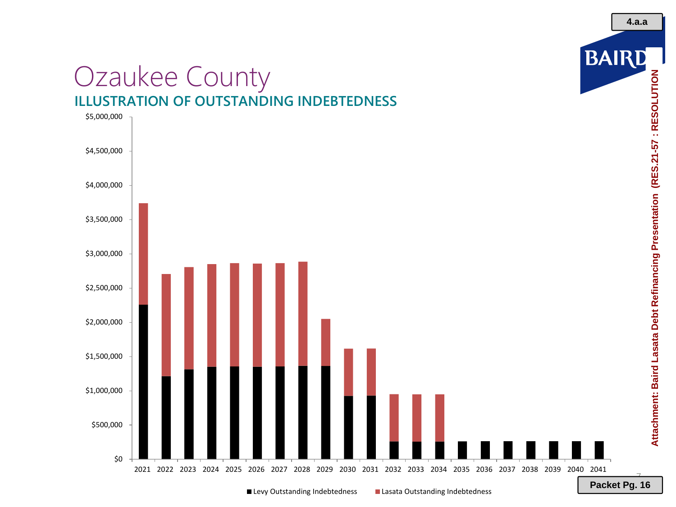## Ozaukee County **ILLUSTRATION OF OUTSTANDING INDEBTEDNESS**



Attachment: Baird Lasata Debt Refinancing Presentation (RES.21-57: RESOLUTION **Attachment: Baird Lasata Debt Refinancing Presentation (RES.21-57 : RESOLUTION**

BAIRD

■ Levy Outstanding Indebtedness ■ Lasata Outstanding Indebtedness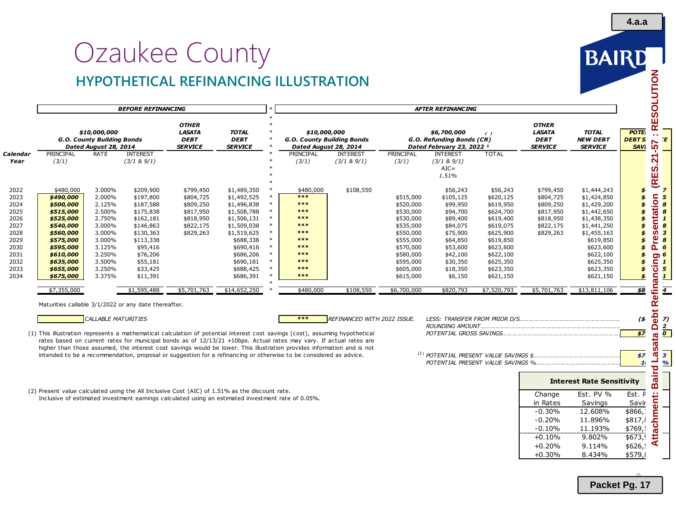# Ozaukee County **HYPOTHETICAL REFINANCING ILLUSTRATION**



|                  |                                                                                                                                                                                      |                                                                                                                                | <b>BEFORE REFINANCING</b>                                                                                                                                                       |                                                                                                                                                                                                                                                                                                                                                                                                                                                                                                    |                                                                                                                                                                                                     |                                                                                                            |                                                                                                                |                                |                                                                                                                                                                         | <b>AFTER REFINANCING</b>                                                                                                                                              |                                                                                                                                                                                     |                                                                                                        |                                                                                                                                                                                                     |                                                                                                                                                                         |
|------------------|--------------------------------------------------------------------------------------------------------------------------------------------------------------------------------------|--------------------------------------------------------------------------------------------------------------------------------|---------------------------------------------------------------------------------------------------------------------------------------------------------------------------------|----------------------------------------------------------------------------------------------------------------------------------------------------------------------------------------------------------------------------------------------------------------------------------------------------------------------------------------------------------------------------------------------------------------------------------------------------------------------------------------------------|-----------------------------------------------------------------------------------------------------------------------------------------------------------------------------------------------------|------------------------------------------------------------------------------------------------------------|----------------------------------------------------------------------------------------------------------------|--------------------------------|-------------------------------------------------------------------------------------------------------------------------------------------------------------------------|-----------------------------------------------------------------------------------------------------------------------------------------------------------------------|-------------------------------------------------------------------------------------------------------------------------------------------------------------------------------------|--------------------------------------------------------------------------------------------------------|-----------------------------------------------------------------------------------------------------------------------------------------------------------------------------------------------------|-------------------------------------------------------------------------------------------------------------------------------------------------------------------------|
|                  |                                                                                                                                                                                      | \$10,000,000<br>G.O. County Building Bonds<br>Dated August 28, 2014                                                            |                                                                                                                                                                                 | <b>OTHER</b><br><b>LASATA</b><br><b>DEBT</b><br><b>SERVICE</b>                                                                                                                                                                                                                                                                                                                                                                                                                                     | <b>TOTAL</b><br><b>DEBT</b><br><b>SERVICE</b>                                                                                                                                                       |                                                                                                            | \$10,000,000<br>G.O. County Building Bonds<br>Dated August 28, 2014                                            |                                |                                                                                                                                                                         | \$6,700,000<br>G.O. Refunding Bonds (CR)<br>Dated February 23, 2022 1                                                                                                 | $\epsilon$                                                                                                                                                                          | <b>OTHER</b><br><b>LASATA</b><br><b>DEBT</b><br><b>SERVICE</b>                                         | <b>TOTAL</b><br><b>NEW DEBT</b><br><b>SERVICE</b>                                                                                                                                                   | <b>POTE</b><br><b>DEBTS</b><br><b>SAVI</b>                                                                                                                              |
| Calendar<br>Year | PRINCIPAL<br>(3/1)                                                                                                                                                                   | RATE                                                                                                                           | <b>INTEREST</b><br>(3/1 & 8)9/1)                                                                                                                                                |                                                                                                                                                                                                                                                                                                                                                                                                                                                                                                    |                                                                                                                                                                                                     |                                                                                                            | PRINCIPAL<br>(3/1)                                                                                             | <b>INTEREST</b><br>(3/1 & 9/1) | PRINCIPAL<br>(3/1)                                                                                                                                                      | <b>INTEREST</b><br>(3/1 & 8)9/1)<br>$AIC =$<br>1.51%                                                                                                                  | <b>TOTAL</b>                                                                                                                                                                        |                                                                                                        |                                                                                                                                                                                                     | I (RES.21                                                                                                                                                               |
|                  | \$480,000<br>\$490,000<br>\$500,000<br>\$515,000<br>\$525,000<br>\$540,000<br>\$560,000<br>\$575,000<br>\$595,000<br>\$610,000<br>\$635,000<br>\$655,000<br>\$675,000<br>\$7,355,000 | 3.000%<br>2.000%<br>2.125%<br>2.500%<br>2.750%<br>3.000%<br>3.000%<br>3.000%<br>3.125%<br>3.250%<br>3.500%<br>3.250%<br>3.375% | \$209,900<br>\$197,800<br>\$187,588<br>\$175,838<br>\$162,181<br>\$146,863<br>\$130,363<br>\$113,338<br>\$95,416<br>\$76,206<br>\$55,181<br>\$33,425<br>\$11,391<br>\$1,595,488 | \$799,450<br>\$804,725<br>\$809,250<br>\$817,950<br>\$818,950<br>\$822,175<br>\$829,263<br>\$5,701,763                                                                                                                                                                                                                                                                                                                                                                                             | \$1,489,350<br>\$1,492,525<br>\$1,496,838<br>\$1,508,788<br>\$1,506,131<br>\$1,509,038<br>\$1,519,625<br>\$688,338<br>\$690,416<br>\$686,206<br>\$690,181<br>\$688,425<br>\$686,391<br>\$14,652,250 | $\ast$<br>$\ast$<br>$\ast$<br>$\ast$<br>$\ast$<br>$\ast$<br>$\ast$<br>$\ast$<br>$\ast$<br>$\ast$<br>$\ast$ | \$480,000<br>***<br>$***$<br>$***$<br>***<br>***<br>***<br>***<br>***<br>***<br>***<br>***<br>***<br>\$480,000 | \$108,550<br>\$108,550         | \$515,000<br>\$520,000<br>\$530,000<br>\$530,000<br>\$535,000<br>\$550,000<br>\$555,000<br>\$570,000<br>\$580,000<br>\$595,000<br>\$605,000<br>\$615,000<br>\$6,700,000 | \$56,243<br>\$105,125<br>\$99,950<br>\$94,700<br>\$89,400<br>\$84,075<br>\$75,900<br>\$64,850<br>\$53,600<br>\$42,100<br>\$30,350<br>\$18,350<br>\$6,150<br>\$820,793 | \$56,243<br>\$620,125<br>\$619,950<br>\$624,700<br>\$619,400<br>\$619,075<br>\$625,900<br>\$619,850<br>\$623,600<br>\$622,100<br>\$625,350<br>\$623,350<br>\$621,150<br>\$7,520,793 | \$799,450<br>\$804,725<br>\$809,250<br>\$817,950<br>\$818,950<br>\$822,175<br>\$829,263<br>\$5,701,763 | \$1,444,243<br>\$1,424,850<br>\$1,429,200<br>\$1,442,650<br>\$1,438,350<br>\$1,441,250<br>\$1,455,163<br>\$619,850<br>\$623,600<br>\$622,100<br>\$625,350<br>\$623,350<br>\$621,150<br>\$13,811,106 | \$<br>$\boldsymbol{\mathcal{L}}$<br>\$<br>\$<br>$\boldsymbol{s}$<br>$\boldsymbol{\mathcal{L}}$<br>\$<br>\$<br>\$<br>\$<br>s.<br>$\boldsymbol{\mathcal{F}}$<br>\$<br>\$8 |
|                  |                                                                                                                                                                                      | CALLABLE MATURITIES                                                                                                            | Maturities callable 3/1/2022 or any date thereafter.                                                                                                                            |                                                                                                                                                                                                                                                                                                                                                                                                                                                                                                    |                                                                                                                                                                                                     |                                                                                                            | ***                                                                                                            | REFINANCED WITH 2022 ISSUE.    |                                                                                                                                                                         |                                                                                                                                                                       |                                                                                                                                                                                     |                                                                                                        |                                                                                                                                                                                                     | $($ \$                                                                                                                                                                  |
|                  |                                                                                                                                                                                      |                                                                                                                                |                                                                                                                                                                                 | (1) This illustration represents a mathematical calculation of potential interest cost savings (cost), assuming hypothetical<br>rates based on current rates for municipal bonds as of 12/13/21 +10bps. Actual rates may vary. If actual rates are<br>higher than those assumed, the interest cost savings would be lower. This illustration provides information and is not<br>intended to be a recommendation, proposal or suggestion for a refinancing or otherwise to be considered as advice. |                                                                                                                                                                                                     |                                                                                                            |                                                                                                                |                                |                                                                                                                                                                         |                                                                                                                                                                       |                                                                                                                                                                                     |                                                                                                        |                                                                                                                                                                                                     | \$7<br>\$7<br>$\mathbf{1}$                                                                                                                                              |
|                  |                                                                                                                                                                                      |                                                                                                                                |                                                                                                                                                                                 |                                                                                                                                                                                                                                                                                                                                                                                                                                                                                                    |                                                                                                                                                                                                     |                                                                                                            |                                                                                                                |                                |                                                                                                                                                                         |                                                                                                                                                                       |                                                                                                                                                                                     |                                                                                                        | <b>Interest Rate Sensitivity</b>                                                                                                                                                                    |                                                                                                                                                                         |
|                  |                                                                                                                                                                                      |                                                                                                                                |                                                                                                                                                                                 | (2) Present value calculated using the All Inclusive Cost (AIC) of 1.51% as the discount rate.<br>Inclusive of estimated investment earnings calculated using an estimated investment rate of 0.05%.                                                                                                                                                                                                                                                                                               |                                                                                                                                                                                                     |                                                                                                            |                                                                                                                |                                |                                                                                                                                                                         |                                                                                                                                                                       |                                                                                                                                                                                     | Change<br>in Rates<br>$-0.30%$<br>$-0.20%$<br>$-0.10%$                                                 | Est. PV %<br>Savings<br>12.608%<br>11.896%<br>11.193%                                                                                                                                               | Est. P<br>Savir<br>\$866,<br>\$817,<br>\$769,                                                                                                                           |

11.193%  $+0.10\%$  9.802% \$673,<br>+0.20% 9.114% \$626,!

+0.30% 8.434% \$579,8

 $+0.20\%$  9.114%